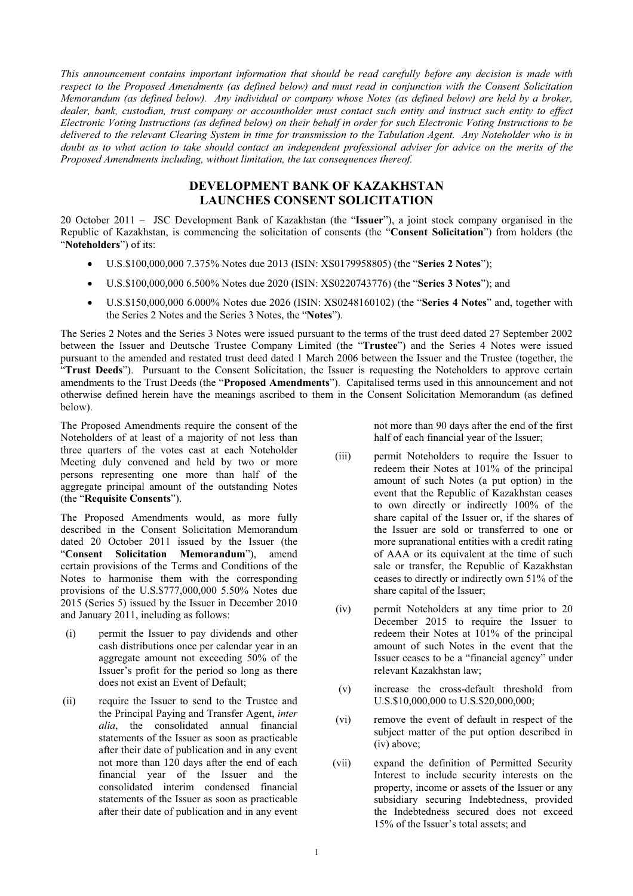*This announcement contains important information that should be read carefully before any decision is made with respect to the Proposed Amendments (as defined below) and must read in conjunction with the Consent Solicitation Memorandum (as defined below). Any individual or company whose Notes (as defined below) are held by a broker, dealer, bank, custodian, trust company or accountholder must contact such entity and instruct such entity to effect Electronic Voting Instructions (as defined below) on their behalf in order for such Electronic Voting Instructions to be delivered to the relevant Clearing System in time for transmission to the Tabulation Agent. Any Noteholder who is in*  doubt as to what action to take should contact an independent professional adviser for advice on the merits of the *Proposed Amendments including, without limitation, the tax consequences thereof.*

## **DEVELOPMENT BANK OF KAZAKHSTAN LAUNCHES CONSENT SOLICITATION**

20 October 2011 – JSC Development Bank of Kazakhstan (the "**Issuer**"), a joint stock company organised in the Republic of Kazakhstan, is commencing the solicitation of consents (the "**Consent Solicitation**") from holders (the "**Noteholders**") of its:

- x U.S.\$100,000,000 7.375% Notes due 2013 (ISIN: XS0179958805) (the "**Series 2 Notes**");
- x U.S.\$100,000,000 6.500% Notes due 2020 (ISIN: XS0220743776) (the "**Series 3 Notes**"); and
- x U.S.\$150,000,000 6.000% Notes due 2026 (ISIN: XS0248160102) (the "**Series 4 Notes**" and, together with the Series 2 Notes and the Series 3 Notes, the "**Notes**").

The Series 2 Notes and the Series 3 Notes were issued pursuant to the terms of the trust deed dated 27 September 2002 between the Issuer and Deutsche Trustee Company Limited (the "**Trustee**") and the Series 4 Notes were issued pursuant to the amended and restated trust deed dated 1 March 2006 between the Issuer and the Trustee (together, the "**Trust Deeds**"). Pursuant to the Consent Solicitation, the Issuer is requesting the Noteholders to approve certain amendments to the Trust Deeds (the "**Proposed Amendments**"). Capitalised terms used in this announcement and not otherwise defined herein have the meanings ascribed to them in the Consent Solicitation Memorandum (as defined below).

The Proposed Amendments require the consent of the Noteholders of at least of a majority of not less than three quarters of the votes cast at each Noteholder Meeting duly convened and held by two or more persons representing one more than half of the aggregate principal amount of the outstanding Notes (the "**Requisite Consents**").

The Proposed Amendments would, as more fully described in the Consent Solicitation Memorandum dated 20 October 2011 issued by the Issuer (the "**Consent Solicitation Memorandum**"), amend certain provisions of the Terms and Conditions of the Notes to harmonise them with the corresponding provisions of the U.S.\$777,000,000 5.50% Notes due 2015 (Series 5) issued by the Issuer in December 2010 and January 2011, including as follows:

- (i) permit the Issuer to pay dividends and other cash distributions once per calendar year in an aggregate amount not exceeding 50% of the Issuer's profit for the period so long as there does not exist an Event of Default;
- (ii) require the Issuer to send to the Trustee and the Principal Paying and Transfer Agent, *inter alia*, the consolidated annual financial statements of the Issuer as soon as practicable after their date of publication and in any event not more than 120 days after the end of each financial year of the Issuer and the consolidated interim condensed financial statements of the Issuer as soon as practicable after their date of publication and in any event

not more than 90 days after the end of the first half of each financial year of the Issuer;

- (iii) permit Noteholders to require the Issuer to redeem their Notes at 101% of the principal amount of such Notes (a put option) in the event that the Republic of Kazakhstan ceases to own directly or indirectly 100% of the share capital of the Issuer or, if the shares of the Issuer are sold or transferred to one or more supranational entities with a credit rating of AAA or its equivalent at the time of such sale or transfer, the Republic of Kazakhstan ceases to directly or indirectly own 51% of the share capital of the Issuer;
- (iv) permit Noteholders at any time prior to 20 December 2015 to require the Issuer to redeem their Notes at 101% of the principal amount of such Notes in the event that the Issuer ceases to be a "financial agency" under relevant Kazakhstan law;
- (v) increase the cross-default threshold from U.S.\$10,000,000 to U.S.\$20,000,000;
- (vi) remove the event of default in respect of the subject matter of the put option described in (iv) above;
- (vii) expand the definition of Permitted Security Interest to include security interests on the property, income or assets of the Issuer or any subsidiary securing Indebtedness, provided the Indebtedness secured does not exceed 15% of the Issuer's total assets; and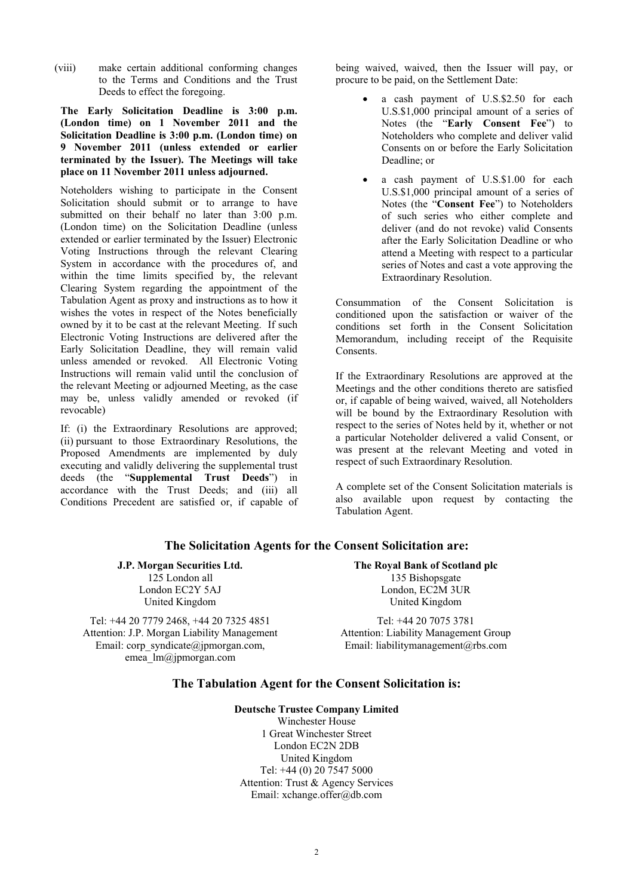(viii) make certain additional conforming changes to the Terms and Conditions and the Trust Deeds to effect the foregoing.

**The Early Solicitation Deadline is 3:00 p.m. (London time) on 1 November 2011 and the Solicitation Deadline is 3:00 p.m. (London time) on 9 November 2011 (unless extended or earlier terminated by the Issuer). The Meetings will take place on 11 November 2011 unless adjourned.** 

Noteholders wishing to participate in the Consent Solicitation should submit or to arrange to have submitted on their behalf no later than  $3:00$  p.m. (London time) on the Solicitation Deadline (unless extended or earlier terminated by the Issuer) Electronic Voting Instructions through the relevant Clearing System in accordance with the procedures of, and within the time limits specified by, the relevant Clearing System regarding the appointment of the Tabulation Agent as proxy and instructions as to how it wishes the votes in respect of the Notes beneficially owned by it to be cast at the relevant Meeting. If such Electronic Voting Instructions are delivered after the Early Solicitation Deadline, they will remain valid unless amended or revoked. All Electronic Voting Instructions will remain valid until the conclusion of the relevant Meeting or adjourned Meeting, as the case may be, unless validly amended or revoked (if revocable)

If: (i) the Extraordinary Resolutions are approved; (ii) pursuant to those Extraordinary Resolutions, the Proposed Amendments are implemented by duly executing and validly delivering the supplemental trust deeds (the "**Supplemental Trust Deeds**") in accordance with the Trust Deeds; and (iii) all Conditions Precedent are satisfied or, if capable of being waived, waived, then the Issuer will pay, or procure to be paid, on the Settlement Date:

- a cash payment of U.S.\$2.50 for each U.S.\$1,000 principal amount of a series of Notes (the "**Early Consent Fee**") to Noteholders who complete and deliver valid Consents on or before the Early Solicitation Deadline; or
- a cash payment of U.S.\$1.00 for each U.S.\$1,000 principal amount of a series of Notes (the "**Consent Fee**") to Noteholders of such series who either complete and deliver (and do not revoke) valid Consents after the Early Solicitation Deadline or who attend a Meeting with respect to a particular series of Notes and cast a vote approving the Extraordinary Resolution.

Consummation of the Consent Solicitation is conditioned upon the satisfaction or waiver of the conditions set forth in the Consent Solicitation Memorandum, including receipt of the Requisite Consents.

If the Extraordinary Resolutions are approved at the Meetings and the other conditions thereto are satisfied or, if capable of being waived, waived, all Noteholders will be bound by the Extraordinary Resolution with respect to the series of Notes held by it, whether or not a particular Noteholder delivered a valid Consent, or was present at the relevant Meeting and voted in respect of such Extraordinary Resolution.

A complete set of the Consent Solicitation materials is also available upon request by contacting the Tabulation Agent.

### **The Solicitation Agents for the Consent Solicitation are:**

**J.P. Morgan Securities Ltd.** 125 London all London EC2Y 5AJ United Kingdom

Tel: +44 20 7779 2468, +44 20 7325 4851 Attention: J.P. Morgan Liability Management Email: corp\_syndicate@jpmorgan.com, emea\_lm@jpmorgan.com

**The Royal Bank of Scotland plc**  135 Bishopsgate London, EC2M 3UR United Kingdom

Tel: +44 20 7075 3781 Attention: Liability Management Group Email: liabilitymanagement@rbs.com

# **The Tabulation Agent for the Consent Solicitation is:**

**Deutsche Trustee Company Limited**  Winchester House 1 Great Winchester Street London EC2N 2DB United Kingdom Tel: +44 (0) 20 7547 5000 Attention: Trust & Agency Services Email: xchange.offer@db.com